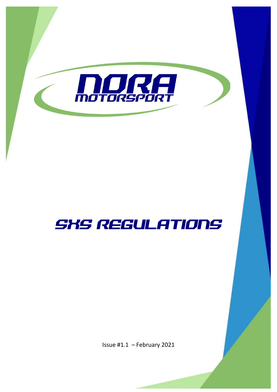

# SXS REGULATIONS

Issue #1.1 – February 2021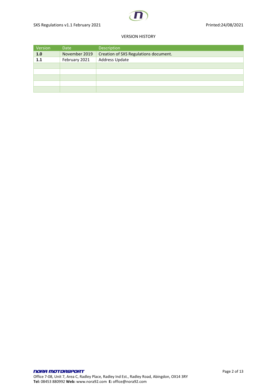#### VERSION HISTORY

| Version | Date          | Description                           |
|---------|---------------|---------------------------------------|
| 1.0     | November 2019 | Creation of SXS Regulations document. |
| 1.1     | February 2021 | Address Update                        |
|         |               |                                       |
|         |               |                                       |
|         |               |                                       |
|         |               |                                       |
|         |               |                                       |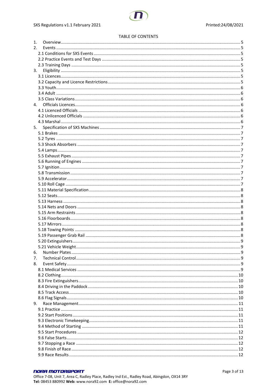#### **TABLE OF CONTENTS**

| 1. |    |   |
|----|----|---|
| 2. |    |   |
|    |    |   |
|    |    |   |
|    |    |   |
| 3. |    |   |
|    |    |   |
|    |    |   |
|    |    |   |
|    |    |   |
|    |    |   |
|    | 4. |   |
|    |    |   |
|    |    |   |
|    |    |   |
|    |    |   |
|    | 5. |   |
|    |    |   |
|    |    |   |
|    |    |   |
|    |    |   |
|    |    |   |
|    |    |   |
|    |    |   |
|    |    |   |
|    |    |   |
|    |    |   |
|    |    |   |
|    |    |   |
|    |    |   |
|    |    |   |
|    |    |   |
|    |    |   |
|    |    |   |
|    |    |   |
|    |    |   |
|    |    |   |
|    |    | 9 |
| 6. |    |   |
|    |    |   |
| 7. |    |   |
| 8. |    |   |
|    |    |   |
|    |    |   |
|    |    |   |
|    |    |   |
|    |    |   |
|    |    |   |
| 9. |    |   |
|    |    |   |
|    |    |   |
|    |    |   |
|    |    |   |
|    |    |   |
|    |    |   |
|    |    |   |
|    |    |   |
|    |    |   |
|    |    |   |

# **NORA MOTORSPORT**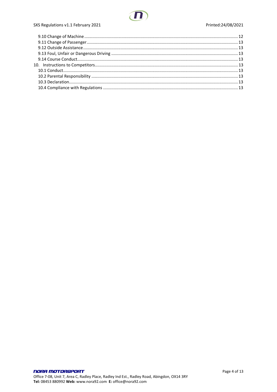

# SXS Regulations v1.1 February 2021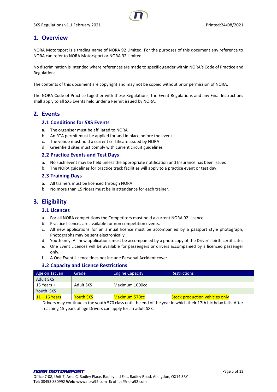# <span id="page-4-0"></span>**1. Overview**

NORA Motorsport is a trading name of NORA 92 Limited. For the purposes of this document any reference to NORA can refer to NORA Motorsport or NORA 92 Limited.

No discrimination is intended where references are made to specific gender within NORA's Code of Practice and Regulations

The contents of this document are copyright and may not be copied without prior permission of NORA.

The NORA Code of Practice together with these Regulations, the Event Regulations and any Final Instructions shall apply to all SXS Events held under a Permit issued by NORA.

# <span id="page-4-2"></span><span id="page-4-1"></span>**2. Events**

# **2.1 Conditions for SXS Events**

- a. The organiser must be affiliated to NORA
- b. An RTA permit must be applied for and in place before the event.
- c. The venue must hold a current certificate issued by NORA
- d. Greenfield sites must comply with current circuit guidelines

#### <span id="page-4-3"></span>**2.2 Practice Events and Test Days**

- a. No such event may be held unless the appropriate notification and Insurance has been issued.
- b. The NORA guidelines for practice track facilities will apply to a practice event or test day.

#### <span id="page-4-4"></span>**2.3 Training Days**

- a. All trainers must be licenced through NORA.
- b. No more than 15 riders must be in attendance for each trainer.

# <span id="page-4-6"></span><span id="page-4-5"></span>**3. Eligibility**

#### **3.1 Licences**

- a. For all NORA competitions the Competitors must hold a current NORA 92 Licence.
- b. Practice licences are available for non competition events.
- c. All new applications for an annual licence must be accompanied by a passport style photograph, Photographs may be sent electronically.
- d. Youth only: All new applications must be accompanied by a photocopy of the Driver's birth certificate.
- e. One Event Licences will be available for passengers or drivers accompanied by a licenced passenger only.
- f. A One Event Licence does not include Personal Accident cover.

#### **3.2 Capacity and Licence Restrictions**

<span id="page-4-7"></span>

| Age on 1st Jan   | Grade            | <b>Engine Capacity</b> | <b>Restrictions</b>                   |
|------------------|------------------|------------------------|---------------------------------------|
| <b>Adult SXS</b> |                  |                        |                                       |
| 15 Years $+$     | Adult SXS        | Maximum 1000cc         |                                       |
| Youth SXS        |                  |                        |                                       |
| $11 - 16$ Years  | <b>Youth SXS</b> | Maximum 570cc          | <b>Stock production vehicles only</b> |

Drivers may continue in the youth 570 class until the end of the year in which their 17th birthday falls. After reaching 15 years of age Drivers can apply for an adult SXS.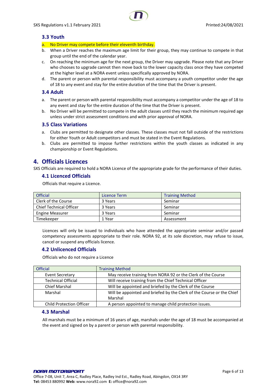# <span id="page-5-0"></span>**3.3 Youth**

- a. No Driver may compete before their eleventh birthday.
- b. When a Driver reaches the maximum age limit for their group, they may continue to compete in that group until the end of the calendar year.
- c. On reaching the minimum age for the next group, the Driver may upgrade. Please note that any Driver who chooses to upgrade cannot then move back to the lower capacity class once they have competed at the higher level at a NORA event unless specifically approved by NORA.
- d. The parent or person with parental responsibility must accompany a youth competitor under the age of 18 to any event and stay for the entire duration of the time that the Driver is present.

## <span id="page-5-1"></span>**3.4 Adult**

- a. The parent or person with parental responsibility must accompany a competitor under the age of 18 to any event and stay for the entire duration of the time that the Driver is present.
- b. No Driver will be permitted to compete in the adult classes until they reach the minimum required age unless under strict assessment conditions and with prior approval of NORA.

#### <span id="page-5-2"></span>**3.5 Class Variations**

- a. Clubs are permitted to designate other classes. These classes must not fall outside of the restrictions for either Youth or Adult competitors and must be stated in the Event Regulations.
- b. Clubs are permitted to impose further restrictions within the youth classes as indicated in any championship or Event Regulations.

# <span id="page-5-3"></span>**4. Officials Licences**

<span id="page-5-4"></span>SXS Officials are required to hold a NORA Licence of the appropriate grade for the performance of their duties.

## **4.1 Licenced Officials**

Officials that require a Licence.

| <b>Official</b>                | Licence Term | <b>Training Method</b> |
|--------------------------------|--------------|------------------------|
| Clerk of the Course            | 3 Years      | Seminar                |
| <b>Chief Technical Officer</b> | 3 Years      | Seminar                |
| <b>Engine Measurer</b>         | 3 Years      | Seminar                |
| Timekeeper                     | 1 Year       | Assessment             |

Licences will only be issued to individuals who have attended the appropriate seminar and/or passed competency assessments appropriate to their role. NORA 92, at its sole discretion, may refuse to issue, cancel or suspend any officials licence.

# <span id="page-5-5"></span>**4.2 Unlicenced Officials**

Officials who do not require a Licence

| <b>Official</b>                 | <b>Training Method</b>                                                |
|---------------------------------|-----------------------------------------------------------------------|
| <b>Event Secretary</b>          | May receive training from NORA 92 or the Clerk of the Course          |
| <b>Technical Official</b>       | Will receive training from the Chief Technical Officer                |
| <b>Chief Marshal</b>            | Will be appointed and briefed by the Clerk of the Course              |
| Marshal                         | Will be appointed and briefed by the Clerk of the Course or the Chief |
|                                 | Marshal                                                               |
| <b>Child Protection Officer</b> | A person appointed to manage child protection issues.                 |

#### <span id="page-5-6"></span>**4.3 Marshal**

All marshals must be a minimum of 16 years of age, marshals under the age of 18 must be accompanied at the event and signed on by a parent or person with parental responsibility.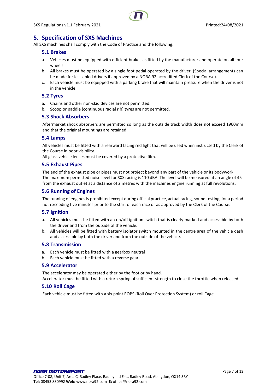

# <span id="page-6-0"></span>**5. Specification of SXS Machines**

<span id="page-6-1"></span>All SXS machines shall comply with the Code of Practice and the following:

## **5.1 Brakes**

- a. Vehicles must be equipped with efficient brakes as fitted by the manufacturer and operate on all four wheels
- b. All brakes must be operated by a single foot pedal operated by the driver. (Special arrangements can be made for less abled drivers if approved by a NORA 92 accredited Clerk of the Course).
- c. Each vehicle must be equipped with a parking brake that will maintain pressure when the driver is not in the vehicle.

## <span id="page-6-2"></span>**5.2 Tyres**

- a. Chains and other non-skid devices are not permitted.
- b. Scoop or paddle (continuous radial rib) tyres are not permitted.

## <span id="page-6-3"></span>**5.3 Shock Absorbers**

Aftermarket shock absorbers are permitted so long as the outside track width does not exceed 1960mm and that the original mountings are retained

#### <span id="page-6-4"></span>**5.4 Lamps**

All vehicles must be fitted with a rearward facing red light that will be used when instructed by the Clerk of the Course in poor visibility.

All glass vehicle lenses must be covered by a protective film.

#### <span id="page-6-5"></span>**5.5 Exhaust Pipes**

The end of the exhaust pipe or pipes must not project beyond any part of the vehicle or its bodywork. The maximum permitted noise level for SXS racing is 110 dBA. The level will be measured at an angle of 45° from the exhaust outlet at a distance of 2 metres with the machines engine running at full revolutions.

## <span id="page-6-6"></span>**5.6 Running of Engines**

The running of engines is prohibited except during official practice, actual racing, sound testing, for a period not exceeding five minutes prior to the start of each race or as approved by the Clerk of the Course.

#### <span id="page-6-7"></span>**5.7 Ignition**

- a. All vehicles must be fitted with an on/off ignition switch that is clearly marked and accessible by both the driver and from the outside of the vehicle.
- b. All vehicles will be fitted with battery isolator switch mounted in the centre area of the vehicle dash and accessible by both the driver and from the outside of the vehicle.

#### <span id="page-6-8"></span>**5.8 Transmission**

- a. Each vehicle must be fitted with a gearbox neutral
- b. Each vehicle must be fitted with a reverse gear.

# <span id="page-6-9"></span>**5.9 Accelerator**

The accelerator may be operated either by the foot or by hand. Accelerator must be fitted with a return spring of sufficient strength to close the throttle when released.

#### <span id="page-6-10"></span>**5.10 Roll Cage**

Each vehicle must be fitted with a six point ROPS (Roll Over Protection System) or roll Cage.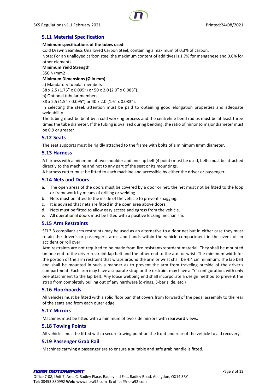# <span id="page-7-0"></span>**5.11 Material Specification**

#### **Minimum specifications of the tubes used:**

Cold Drawn Seamless Unalloyed Carbon Steel, containing a maximum of 0.3% of carbon.

Note: For an unalloyed carbon steel the maximum content of additives is 1.7% for manganese and 0.6% for other elements.

## **Minimum Yield Strength**

350 N/mm2

**Minimum Dimensions (Ø in mm)**

a) Mandatory tubular members

38 x 2.5 (1.75" x 0.095") or 50 x 2.0 (2.0" x 0.083").

b) Optional tubular members

38 x 2.5 (1.5" x 0.095") or 40 x 2.0 (1.6" x 0.083").

In selecting the steel, attention must be paid to obtaining good elongation properties and adequate weldability.

The tubing must be bent by a cold working process and the centreline bend radius must be at least three times the tube diameter. If the tubing is ovalised during bending, the ratio of minor to major diameter must be 0.9 or greater

## <span id="page-7-1"></span>**5.12 Seats**

The seat supports must be rigidly attached to the frame with bolts of a minimum 8mm diameter.

#### <span id="page-7-2"></span>**5.13 Harness**

A harness with a minimum of two shoulder and one lap belt (4 point) must be used, belts must be attached directly to the machine and not to any part of the seat or its mountings.

A harness cutter must be fitted to each machine and accessible by either the driver or passenger.

#### <span id="page-7-3"></span>**5.14 Nets and Doors**

- a. The open areas of the doors must be covered by a door or net, the net must not be fitted to the loop or framework by means of drilling or welding.
- b. Nets must be fitted to the inside of the vehicle to prevent snagging.
- c. It is advised that nets are fitted in the open area above doors.
- d. Nets must be fitted to allow easy access and egress from the vehicle.
- e. All operational doors must be fitted with a positive locking mechanism.

# <span id="page-7-4"></span>**5.15 Arm Restraints**

SFI 3.3 compliant arm restraints may be used as an alternative to a door net but in either case they must retain the driver's or passenger's arms and hands within the vehicle compartment in the event of an accident or roll over

Arm restraints are not required to be made from fire resistant/retardant material. They shall be mounted on one end to the driver restraint lap belt and the other end to the arm or wrist. The minimum width for the portion of the arm restraint that wraps around the arm or wrist shall be 4.4 cm minimum. The lap belt end shall be mounted in such a manner as to prevent the arm from traveling outside of the driver's compartment. Each arm may have a separate strap or the restraint may have a "Y" configuration, with only one attachment to the lap belt. Any loose webbing end shall incorporate a design method to prevent the strap from completely pulling out of any hardware (d-rings, 3-bar slide, etc.)

#### <span id="page-7-5"></span>**5.16 Floorboards**

All vehicles must be fitted with a solid floor pan that covers from forward of the pedal assembly to the rear of the seats and from each outer edge.

#### <span id="page-7-6"></span>**5.17 Mirrors**

Machines must be fitted with a minimum of two side mirrors with rearward views.

#### <span id="page-7-7"></span>**5.18 Towing Points**

All vehicles must be fitted with a secure towing point on the front and rear of the vehicle to aid recovery.

#### <span id="page-7-8"></span>**5.19 Passenger Grab Rail**

Machines carrying a passenger are to ensure a suitable and safe grab handle is fitted.

#### NORA MOTORSPORT Office 7-08, Unit 7, Area C, Radley Place, Radley Ind Est., Radley Road, Abingdon, OX14 3RY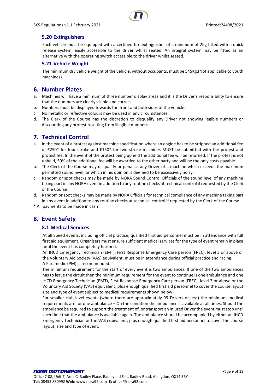

# <span id="page-8-0"></span>**5.20 Extinguishers**

Each vehicle must be equipped with a certified fire extinguisher of a minimum of 2Kg fitted with a quick release system, easily accessible to the driver whilst seated. An integral system may be fitted as an alternative with the operating switch accessible to the driver whilst seated.

# <span id="page-8-1"></span>**5.21 Vehicle Weight**

The minimum dry vehicle weight of the vehicle, without occupants, must be 545Kg.(Not applicable to youth machines)

# <span id="page-8-2"></span>**6. Number Plates**

- a. Machines will have a minimum of three number display areas and it is the Driver's responsibility to ensure that the numbers are clearly visible and correct.
- b. Numbers must be displayed towards the front and both sides of the vehicle.
- c. No metallic or reflective colours may be used in any circumstances.
- d. The Clerk of the Course has the discretion to disqualify any Driver not showing legible numbers or discounting any protest resulting from illegible numbers.

# <span id="page-8-3"></span>**7. Technical Control**

- a. In the event of a protest against machine specification where an engine has to be stripped an additional fee of £250\* for four stroke and £150\* for two stroke machines MUST be submitted with the protest and protest fee. In the event of the protest being upheld the additional fee will be returned. If the protest is not upheld, 50% of the additional fee will be awarded to the other party and will be the only costs payable.
- b. The Clerk of the Course may disqualify or penalise any Driver of a machine which exceeds the maximum permitted sound level, or which in his opinion is deemed to be excessively noisy.
- c. Random or spot checks may be made by NORA Sound Control Officials of the sound level of any machine taking part in any NORA event in addition to any routine checks at technical control if requested by the Clerk of the Course.
- d. Random or spot checks may be made by NORA Officials for technical compliance of any machine taking part in any event in addition to any routine checks at technical control if requested by the Clerk of the Course.

<span id="page-8-4"></span>\* All payments to be made in cash

# <span id="page-8-5"></span>**8. Event Safety**

# **8.1 Medical Services**

At all Speed events, including official practice, qualified first aid personnel must be in attendance with full first aid equipment. Organisers must ensure sufficient medical services for the type of event remain in place until the event has completely finished.

An IHCD Emergency Technician (EMT), First Response Emergency Care person (FREC), level 3 or above or the Voluntary Aid Society (VAS) equivalent, must be in attendance during official practice and racing. A Paramedic (PM) is recommended.

The minimum requirement for the start of every event is two ambulances. If one of the two ambulances has to leave the circuit then the minimum requirement for the event to continue is one ambulance and one IHCD Emergency Technician (EMT), First Response Emergency Care person (FREC), level 3 or above or the Voluntary Aid Society (VAS) equivalent, plus enough qualified first aid personnel to cover the course layout size and type of event subject to medical requirements shown below.

For smaller club level events (where there are approximately 99 Drivers or less) the minimum medical requirements are for one ambulance – On the condition the ambulance is available at all times. Should the ambulance be required to support the treatment of, or transport an injured Driver the event must stop until such time that the ambulance is available again. The ambulance should be accompanied by either an IHCD Emergency Technician or the VAS equivalent, plus enough qualified first aid personnel to cover the course layout, size and type of event.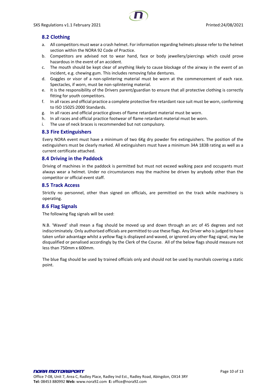# <span id="page-9-0"></span>**8.2 Clothing**

- a. All competitors must wear a crash helmet. For information regarding helmets please refer to the helmet section within the NORA 92 Code of Practice.
- b. Competitors are advised not to wear hand, face or body jewellery/piercings which could prove hazardous in the event of an accident.
- c. The mouth should be kept clear of anything likely to cause blockage of the airway in the event of an incident, e.g. chewing gum. This includes removing false dentures.
- d. Goggles or visor of a non-splintering material must be worn at the commencement of each race. Spectacles, if worn, must be non-splintering material.
- e. It is the responsibility of the Drivers parent/guardian to ensure that all protective clothing is correctly fitting for youth competitors.
- f. In all races and official practice a complete protective fire retardant race suit must be worn, conforming to ISO 15025:2000 Standards.
- g. In all races and official practice gloves of flame retardant material must be worn.
- h. In all races and official practice footwear of flame retardant material must be worn.
- i. The use of neck braces is recommended but not compulsory.

## <span id="page-9-1"></span>**8.3 Fire Extinguishers**

Every NORA event must have a minimum of two 6Kg dry powder fire extinguishers. The position of the extinguishers must be clearly marked. All extinguishers must have a minimum 34A 183B rating as well as a current certificate attached.

#### <span id="page-9-2"></span>**8.4 Driving in the Paddock**

Driving of machines in the paddock is permitted but must not exceed walking pace and occupants must always wear a helmet. Under no circumstances may the machine be driven by anybody other than the competitor or official event staff.

#### <span id="page-9-3"></span>**8.5 Track Access**

Strictly no personnel, other than signed on officials, are permitted on the track while machinery is operating.

# <span id="page-9-4"></span>**8.6 Flag Signals**

The following flag signals will be used:

N.B. 'Waved' shall mean a flag should be moved up and down through an arc of 45 degrees and not indiscriminately. Only authorised officials are permitted to use these flags. Any Driver who is judged to have taken unfair advantage whilst a yellow flag is displayed and waved, or ignored any other flag signal, may be disqualified or penalised accordingly by the Clerk of the Course. All of the below flags should measure not less than 750mm x 600mm.

The blue flag should be used by trained officials only and should not be used by marshals covering a static point.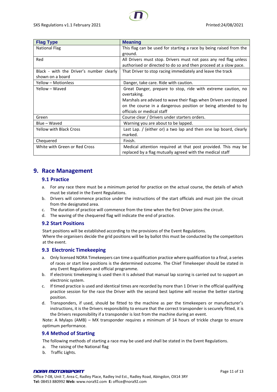| <b>Flag Type</b>                         | <b>Meaning</b>                                                     |
|------------------------------------------|--------------------------------------------------------------------|
| <b>National Flag</b>                     | This flag can be used for starting a race by being raised from the |
|                                          | ground.                                                            |
| Red                                      | All Drivers must stop. Drivers must not pass any red flag unless   |
|                                          | authorised or directed to do so and then proceed at a slow pace.   |
| Black - with the Driver's number clearly | That Driver to stop racing immediately and leave the track         |
| shown on a board                         |                                                                    |
| Yellow - Motionless                      | Danger, take care. Ride with caution.                              |
| Yellow - Waved                           | Great Danger, prepare to stop, ride with extreme caution, no       |
|                                          | overtaking.                                                        |
|                                          | Marshals are advised to wave their flags when Drivers are stopped  |
|                                          | on the course in a dangerous position or being attended to by      |
|                                          | officials or medical staff                                         |
| Green                                    | Course clear / Drivers under starters orders.                      |
| Blue - Waved                             | Warning you are about to be lapped.                                |
| <b>Yellow with Black Cross</b>           | Last Lap. / (either or) a two lap and then one lap board, clearly  |
|                                          | marked.                                                            |
| Chequered                                | Finish.                                                            |
| White with Green or Red Cross            | Medical attention required at that post provided. This may be      |
|                                          | replaced by a flag mutually agreed with the medical staff          |

# <span id="page-10-1"></span><span id="page-10-0"></span>**9. Race Management**

# **9.1 Practice**

- a. For any race there must be a minimum period for practice on the actual course, the details of which must be stated in the Event Regulations.
- b. Drivers will commence practice under the instructions of the start officials and must join the circuit from the designated area.
- c. The duration of practice will commence from the time when the first Driver joins the circuit.
- d. The waving of the chequered flag will indicate the end of practice.

# <span id="page-10-2"></span>**9.2 Start Positions**

Start positions will be established according to the provisions of the Event Regulations.

Where the organisers decide the grid positions will be by ballot this must be conducted by the competitors at the event.

# <span id="page-10-3"></span>**9.3 Electronic Timekeeping**

- a. Only licensed NORA Timekeepers can time a qualification practice where qualification to a final, a series of races or start line positions is the determined outcome. The Chief Timekeeper should be stated in any Event Regulations and official programme.
- b. If electronic timekeeping is used then it is advised that manual lap scoring is carried out to support an electronic system.
- c. If timed practice is used and identical times are recorded by more than 1 Driver in the official qualifying practice session for the race the Driver with the second best laptime will receive the better starting position.
- d. Transponders, if used, should be fitted to the machine as per the timekeepers or manufacturer's instructions, it is the Drivers responsibility to ensure that the correct transponder is securely fitted, it is the Drivers responsibility if a transponder is lost from the machine during an event.

Note: A Mylaps (AMB) – MX transponder requires a minimum of 14 hours of trickle charge to ensure optimum performance.

# <span id="page-10-4"></span>**9.4 Method of Starting**

The following methods of starting a race may be used and shall be stated in the Event Regulations.

- a. The raising of the National flag
- b. Traffic Lights.

#### NORA MOTORSPORT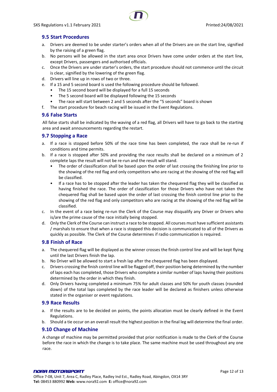# <span id="page-11-0"></span>**9.5 Start Procedures**

- a. Drivers are deemed to be under starter's orders when all of the Drivers are on the start line, signified by the raising of a green flag.
- b. No persons will be allowed in the start area once Drivers have come under orders at the start line, except Drivers, passengers and authorised officials.
- c. Once the Drivers are under starter's orders, the start procedure should not commence until the circuit is clear, signified by the lowering of the green flag.
- d. Drivers will line up in rows of two or three.
- e. If a 15 and 5 second board is used the following procedure should be followed.
	- The 15 second board will be displayed for a full 15 seconds
	- The 5 second board will be displayed following the 15 seconds
	- The race will start between 2 and 5 seconds after the "5 seconds" board is shown
- f. The start procedure for beach racing will be issued in the Event Regulations.

# <span id="page-11-1"></span>**9.6 False Starts**

All false starts shall be indicated by the waving of a red flag, all Drivers will have to go back to the starting area and await announcements regarding the restart.

# <span id="page-11-2"></span>**9.7 Stopping a Race**

- a. If a race is stopped before 50% of the race time has been completed, the race shall be re-run if conditions and time permits.
- b. If a race is stopped after 50% and providing the race results shall be declared on a minimum of 2 complete laps the result will not be re-run and the result will stand.
	- The order of classification shall be based upon the order of last crossing the finishing line prior to the showing of the red flag and only competitors who are racing at the showing of the red flag will be classified.
	- If a race has to be stopped after the leader has taken the chequered flag they will be classified as having finished the race. The order of classification for those Drivers who have not taken the chequered flag shall be based upon the order of last crossing the finish control line prior to the showing of the red flag and only competitors who are racing at the showing of the red flag will be classified.
- c. In the event of a race being re-run the Clerk of the Course may disqualify any Driver or Drivers who is/are the prime cause of the race initially being stopped.
- d. Only the Clerk of the Course can instruct a race to be stopped. All courses must have sufficient assistants / marshals to ensure that when a race is stopped this decision is communicated to all of the Drivers as quickly as possible. The Clerk of the Course determines if radio communication is required.

# <span id="page-11-3"></span>**9.8 Finish of Race**

- a. The chequered flag will be displayed as the winner crosses the finish control line and will be kept flying until the last Drivers finish the lap.
- b. No Driver will be allowed to start a fresh lap after the chequered flag has been displayed.
- c. Drivers crossing the finish control line will be flagged off, their position being determined by the number of laps each has completed, those Drivers who complete a similar number of laps having their positions determined by the order in which they finish.
- d. Only Drivers having completed a minimum 75% for adult classes and 50% for youth classes (rounded down) of the total laps completed by the race leader will be declared as finishers unless otherwise stated in the organiser or event regulations.

# <span id="page-11-4"></span>**9.9 Race Results**

- a. If the results are to be decided on points, the points allocation must be clearly defined in the Event Regulations.
- b. Should a tie occur on an overall result the highest position in the final leg will determine the final order.

# <span id="page-11-5"></span>**9.10 Change of Machine**

A change of machine may be permitted provided that prior notification is made to the Clerk of the Course before the race in which the change is to take place. The same machine must be used throughout any one race.